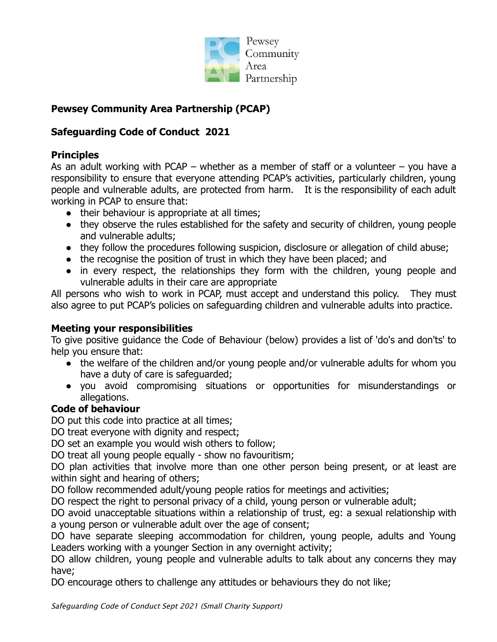

# **Pewsey Community Area Partnership (PCAP)**

# **Safeguarding Code of Conduct 2021**

## **Principles**

As an adult working with PCAP – whether as a member of staff or a volunteer – you have a responsibility to ensure that everyone attending PCAP's activities, particularly children, young people and vulnerable adults, are protected from harm. It is the responsibility of each adult working in PCAP to ensure that:

- their behaviour is appropriate at all times;
- they observe the rules established for the safety and security of children, young people and vulnerable adults;
- they follow the procedures following suspicion, disclosure or allegation of child abuse;
- the recognise the position of trust in which they have been placed; and
- in every respect, the relationships they form with the children, young people and vulnerable adults in their care are appropriate

All persons who wish to work in PCAP, must accept and understand this policy. They must also agree to put PCAP's policies on safeguarding children and vulnerable adults into practice.

### **Meeting your responsibilities**

To give positive guidance the Code of Behaviour (below) provides a list of 'do's and don'ts' to help you ensure that:

- the welfare of the children and/or young people and/or vulnerable adults for whom you have a duty of care is safeguarded;
- you avoid compromising situations or opportunities for misunderstandings or allegations.

### **Code of behaviour**

DO put this code into practice at all times;

DO treat everyone with dignity and respect;

DO set an example you would wish others to follow;

DO treat all young people equally - show no favouritism;

DO plan activities that involve more than one other person being present, or at least are within sight and hearing of others;

DO follow recommended adult/young people ratios for meetings and activities;

DO respect the right to personal privacy of a child, young person or vulnerable adult;

DO avoid unacceptable situations within a relationship of trust, eg: a sexual relationship with a young person or vulnerable adult over the age of consent;

DO have separate sleeping accommodation for children, young people, adults and Young Leaders working with a younger Section in any overnight activity;

DO allow children, young people and vulnerable adults to talk about any concerns they may have;

DO encourage others to challenge any attitudes or behaviours they do not like;